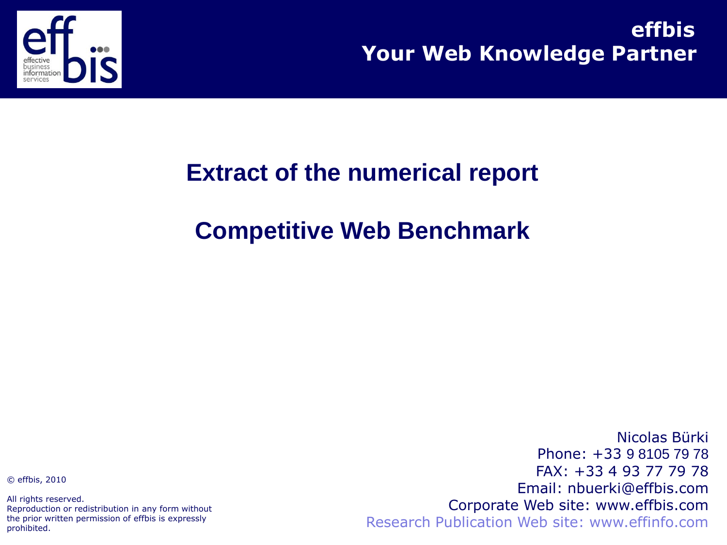

**Your Web Knowledge Partner effbis**

### **Extract of the numerical report**

### **Competitive Web Benchmark**

© effbis, 2010

All rights reserved. Reproduction or redistribution in any form without the prior written permission of effbis is expressly prohibited.

Nicolas Bürki Phone: +33 9 8105 79 78 FAX: +33 4 93 77 79 78 Email: nbuerki@effbis.com Corporate Web site: www.effbis.com Research Publication Web site: www.effinfo.com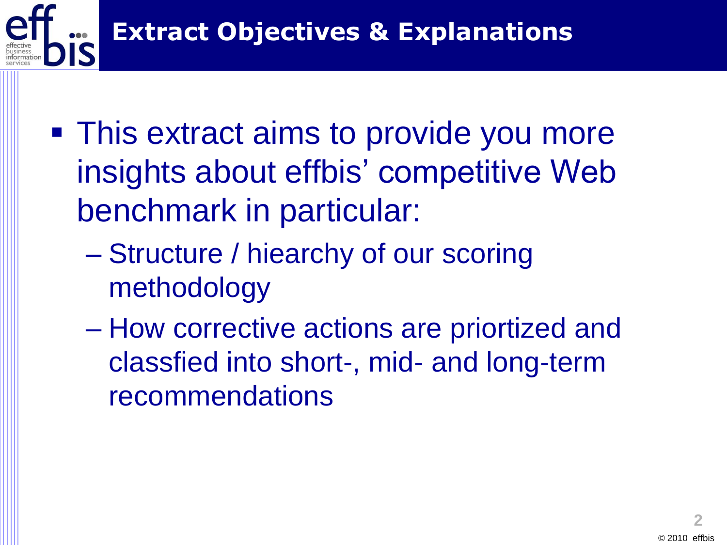

- **This extract aims to provide you more** insights about effbis' competitive Web benchmark in particular:
	- Structure / hiearchy of our scoring methodology
	- How corrective actions are priortized and classfied into short-, mid- and long-term recommendations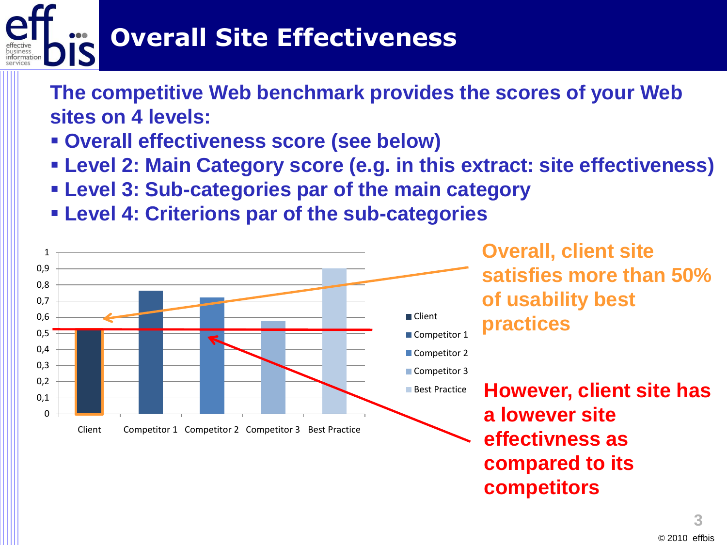# **Overall Site Effectiveness**

**The competitive Web benchmark provides the scores of your Web sites on 4 levels:**

- **Overall effectiveness score (see below)**
- **Level 2: Main Category score (e.g. in this extract: site effectiveness)**
- **Level 3: Sub-categories par of the main category**
- **Level 4: Criterions par of the sub-categories**

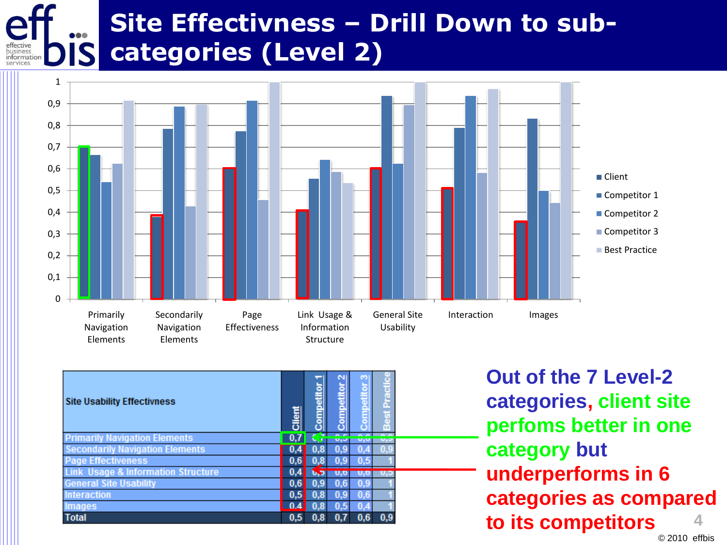#### **Site Effectivness – Drill Down to subcategories (Level 2)** business<br>informat



| <b>Site Usability Effectivness</b>            | Client | <b>Competito</b> | N<br>Competitor | Competitor 3 | Practic<br><b>Best</b> |  |
|-----------------------------------------------|--------|------------------|-----------------|--------------|------------------------|--|
| <b>Primarily Navigation Elements</b>          | 0,7    |                  |                 |              |                        |  |
| <b>Secondarily Navigation Elements</b>        |        |                  | 0.9             |              |                        |  |
| <b>Page Effectiveness</b>                     |        |                  |                 |              |                        |  |
| <b>Link Usage &amp; Information Structure</b> |        | J                |                 |              |                        |  |
| <b>General Site Usability</b>                 |        | 0.9              | 0.6             |              |                        |  |
| <b>Interaction</b>                            | 0,5    | 0.8              | 0,9             |              |                        |  |
| <b>Images</b>                                 | 0.4    |                  | 0.5             |              |                        |  |
| <b>Total</b>                                  | 0.5    | я                | 0.7             | 0.6          | 0.9                    |  |

**4 Out of the 7 Level-2 categories, client site perfoms better in one category but underperforms in 6 categories as compared to its competitors**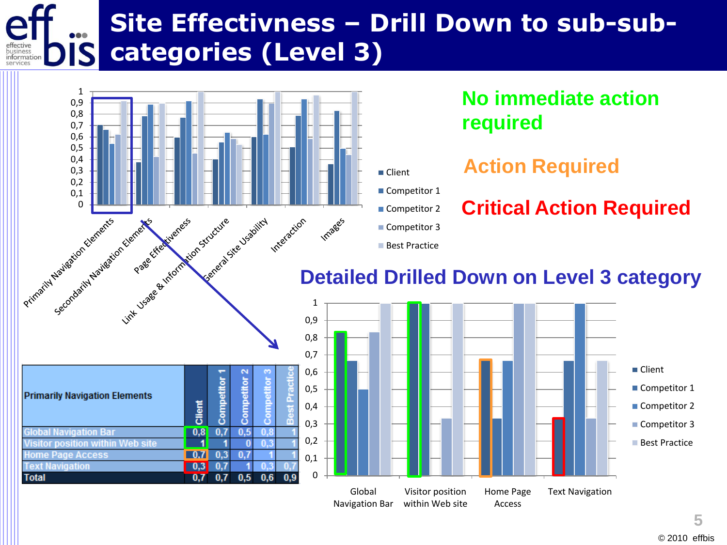#### **Site Effectivness – Drill Down to sub-subcategories (Level 3)** business<br>informat



#### **No immediate action required**

**Critical Action Required**

#### **Action Required**

- Competitor 1
- Competitor 2

■ Client

- Competitor 3
- **Best Practice**

#### **Detailed Drilled Down on Level 3 category**



| <b>Primarily Navigation Elements</b> | Client | ā<br>ompeti | $\mathbf{\tilde{c}}$<br>Competitor | m<br><b>Competitor</b> | ō<br><b>Best Practi</b> | 0,<br>0,<br>،0<br>0,3 |
|--------------------------------------|--------|-------------|------------------------------------|------------------------|-------------------------|-----------------------|
| <b>Global Navigation Bar</b>         | 0.8    |             |                                    |                        |                         |                       |
| Visitor position within Web site     |        |             |                                    |                        |                         | 0,                    |
| <b>Home Page Access</b>              |        |             |                                    |                        |                         | 0,:                   |
| <b>Text Navigation</b>               |        |             |                                    |                        |                         |                       |
| <b>Total</b>                         |        |             |                                    |                        |                         |                       |

© 2010 effbis

**5**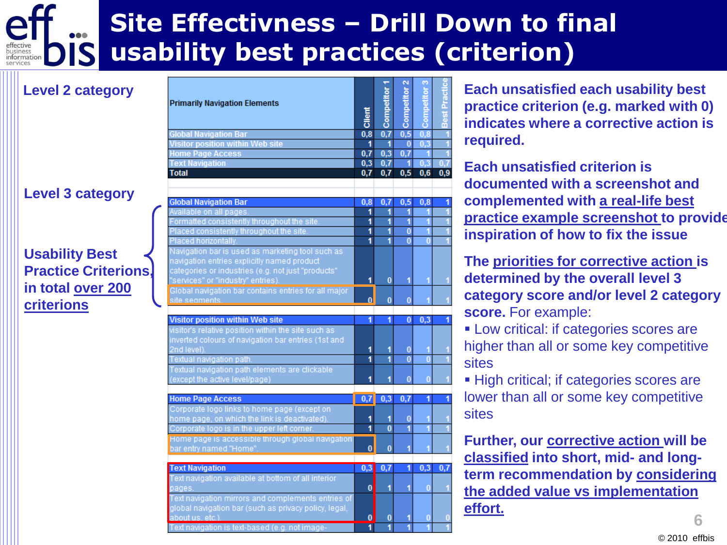# **Site Effectivness – Drill Down to final usability best practices (criterion)**

#### **Level 3 category**

**Level 2 category**

#### **Usability Best Practice Criterions, in total over 200 criterions**

|                                                       |          |                         |                | ø<br>ă           |             |
|-------------------------------------------------------|----------|-------------------------|----------------|------------------|-------------|
| <b>Primarily Navigation Elements</b>                  |          |                         |                |                  |             |
|                                                       |          |                         |                |                  |             |
|                                                       | Client   | Competitor              | Competitor     | ర్రె             | Best        |
| <b>Global Navigation Bar</b>                          | 0,8      | 0,7                     | 0,5            | 0,8              |             |
| Visitor position within Web site                      | 1        | $\overline{\mathbf{1}}$ | $\overline{0}$ | 0,3              |             |
| <b>Home Page Access</b>                               | 0.7      | 0,3                     | 0.7            | -1               |             |
| <b>Text Navigation</b>                                | 0,3      | 0.7                     | 1              | $\overline{0,3}$ | 0.7         |
| <b>Total</b>                                          | 0,7      | 0,7                     | 0,5            | 0,6              | 0,9         |
|                                                       |          |                         |                |                  |             |
| <b>Global Navigation Bar</b>                          | 0.8      | 0.7                     | 0,5            | 0.8              |             |
| Available on all pages.                               | 1        | 1                       | 1              | 1                |             |
| Formatted consistently throughout the site            | 1        | 1                       | 1              | $\overline{1}$   |             |
| Placed consistently throughout the site.              | 1        | 1                       | $\bf{0}$       |                  |             |
| Placed horizontally.                                  | 1        | 1                       | $\bf{0}$       | 0                |             |
| Navigation bar is used as marketing tool such as      |          |                         |                |                  |             |
| navigation entries explicitly named product           |          |                         |                |                  |             |
| categories or industries (e.g. not just "products"    |          |                         |                |                  |             |
| "services" or "industry" entries).                    | 1        | 0                       | 1              | 1                |             |
| Global navigation bar contains entries for all major  |          |                         |                |                  |             |
| site seaments.                                        | $\bf{0}$ | $\bf{0}$                | $\bf{0}$       | 1                |             |
|                                                       |          |                         |                |                  |             |
| <b>Visitor position within Web site</b>               | 1        | 1                       | $\bf{0}$       | 0,3              |             |
| visitor's relative position within the site such as   |          |                         |                |                  |             |
| inverted colours of navigation bar entries (1st and   |          |                         |                |                  |             |
| 2nd level).                                           | 1        | 1                       | $\bf{0}$       | 1                |             |
| Textual navigation path.                              | 1        | 1                       | $\overline{0}$ | $\overline{0}$   |             |
| Textual navigation path elements are clickable        |          |                         |                |                  |             |
| (except the active level/page)                        | 1        | 1                       | $\bf{0}$       | $\overline{0}$   |             |
|                                                       |          |                         |                |                  |             |
| <b>Home Page Access</b>                               | 0,7      | 0,3                     | 0,7            | 1                |             |
| Corporate logo links to home page (except on          |          |                         |                |                  |             |
| home page, on which the link is deactivated).         | 1        | 1                       | $\bf{0}$       |                  |             |
| Corporate logo is in the upper left corner.           | 1        | $\overline{0}$          | 1              | 1                |             |
| Home page is accessible through global navigation     |          |                         |                |                  |             |
| bar entry named "Home"                                | 0        | $\bf{0}$                | 1              | 1                |             |
| <b>Text Navigation</b>                                | 0,3      | 0,7                     | 1              | 0,3              | $0,\bar{i}$ |
| Text navigation available at bottom of all interior   |          |                         |                |                  |             |
| pages.                                                | 0        | 1                       | 1              | $\bf{0}$         |             |
| Text navigation mirrors and complements entries of    |          |                         |                |                  |             |
| global navigation bar (such as privacy policy, legal, |          |                         |                |                  |             |
| about us. etc.)                                       | 0        | 0                       | 1              | $\bf{0}$         |             |
| Text navigation is text-based (e.g. not image-        | 1        | 1                       | 1              | 1                |             |
|                                                       |          |                         |                |                  |             |

**Each unsatisfied each usability best practice criterion (e.g. marked with 0) indicates where a corrective action is required.** 

**Each unsatisfied criterion is documented with a screenshot and complemented with a real-life best practice example screenshot to provide inspiration of how to fix the issue**

**The priorities for corrective action is determined by the overall level 3 category score and/or level 2 category score.** For example:

**Low critical: if categories scores are** higher than all or some key competitive sites

■ High critical; if categories scores are lower than all or some key competitive sites

**Further, our corrective action will be classified into short, mid- and longterm recommendation by considering the added value vs implementation effort.**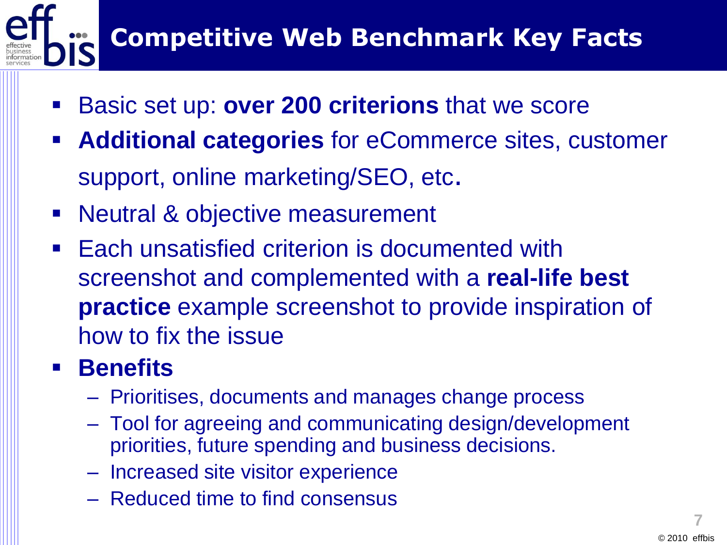# **Competitive Web Benchmark Key Facts**

- Basic set up: **over 200 criterions** that we score
- **Additional categories** for eCommerce sites, customer support, online marketing/SEO, etc.
- Neutral & objective measurement
- Each unsatisfied criterion is documented with screenshot and complemented with a **real-life best practice** example screenshot to provide inspiration of how to fix the issue

## **Benefits**

- Prioritises, documents and manages change process
- Tool for agreeing and communicating design/development priorities, future spending and business decisions.
- Increased site visitor experience
- Reduced time to find consensus